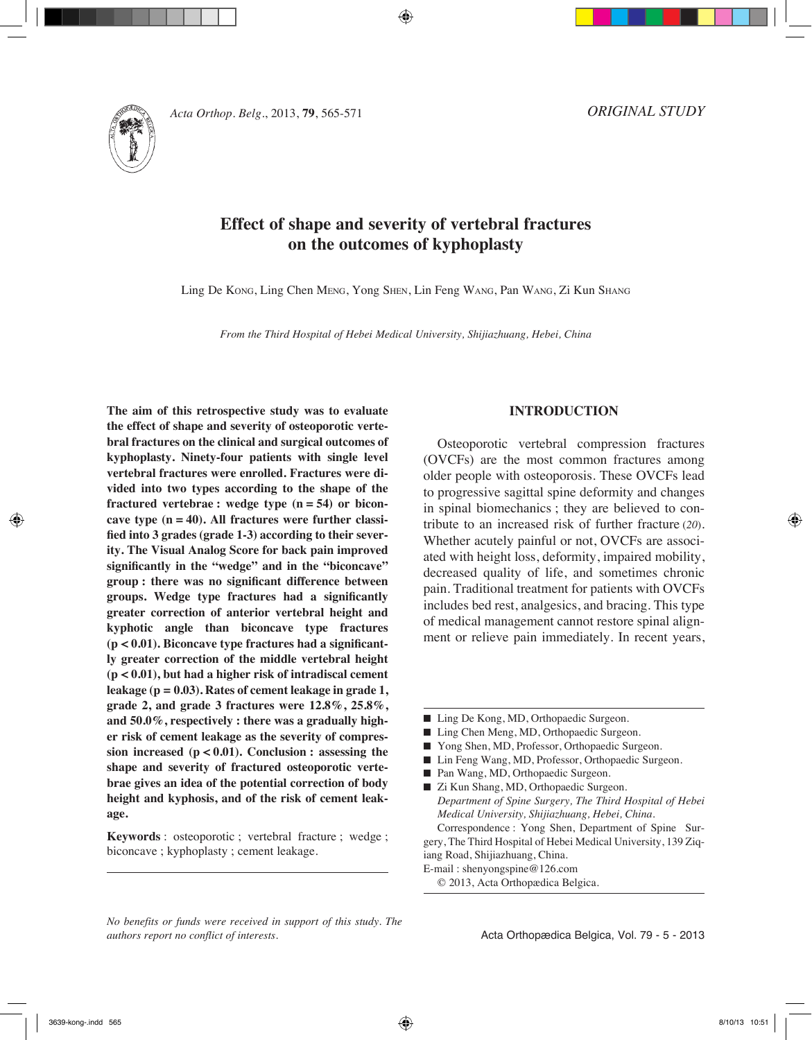



# **Effect of shape and severity of vertebral fractures on the outcomes of kyphoplasty**

Ling De Kong, Ling Chen Meng, Yong Shen, Lin Feng Wang, Pan Wang, Zi Kun Shang

*From the Third Hospital of Hebei Medical University, Shijiazhuang, Hebei, China*

**The aim of this retrospective study was to evaluate the effect of shape and severity of osteoporotic vertebral fractures on the clinical and surgical outcomes of kyphoplasty. Ninety-four patients with single level vertebral fractures were enrolled. Fractures were divided into two types according to the shape of the fractured vertebrae : wedge type (n = 54) or biconcave type (n = 40). All fractures were further classified into 3 grades (grade 1-3) according to their severity. The Visual Analog Score for back pain improved significantly in the "wedge" and in the "biconcave" group : there was no significant difference between groups. Wedge type fractures had a significantly greater correction of anterior vertebral height and kyphotic angle than biconcave type fractures (p < 0.01). Biconcave type fractures had a significantly greater correction of the middle vertebral height (p < 0.01), but had a higher risk of intradiscal cement leakage (p = 0.03). Rates of cement leakage in grade 1, grade 2, and grade 3 fractures were 12.8%, 25.8%, and 50.0%, respectively : there was a gradually higher risk of cement leakage as the severity of compression increased (p < 0.01). Conclusion : assessing the shape and severity of fractured osteoporotic vertebrae gives an idea of the potential correction of body height and kyphosis, and of the risk of cement leakage.**

**Keywords** : osteoporotic ; vertebral fracture ; wedge ; biconcave ; kyphoplasty ; cement leakage.

## **INTRODUCTION**

Osteoporotic vertebral compression fractures (OVCFs) are the most common fractures among older people with osteoporosis. These OVCFs lead to progressive sagittal spine deformity and changes in spinal biomechanics ; they are believed to contribute to an increased risk of further fracture (*20*). Whether acutely painful or not, OVCFs are associated with height loss, deformity, impaired mobility, decreased quality of life, and sometimes chronic pain. Traditional treatment for patients with OVCFs includes bed rest, analgesics, and bracing. This type of medical management cannot restore spinal alignment or relieve pain immediately. In recent years,

- Ling De Kong, MD, Orthopaedic Surgeon.
- Ling Chen Meng, MD, Orthopaedic Surgeon.
- Yong Shen, MD, Professor, Orthopaedic Surgeon.
- Lin Feng Wang, MD, Professor, Orthopaedic Surgeon.
- Pan Wang, MD, Orthopaedic Surgeon.

■ Zi Kun Shang, MD, Orthopaedic Surgeon. *Department of Spine Surgery, The Third Hospital of Hebei Medical University, Shijiazhuang, Hebei, China.* Correspondence : Yong Shen, Department of Spine Sur-

gery, The Third Hospital of Hebei Medical University, 139 Ziqiang Road, Shijiazhuang, China.

E-mail : shenyongspine@126.com

© 2013, Acta Orthopædica Belgica.

*No benefits or funds were received in support of this study. The authors report no conflict of interests.*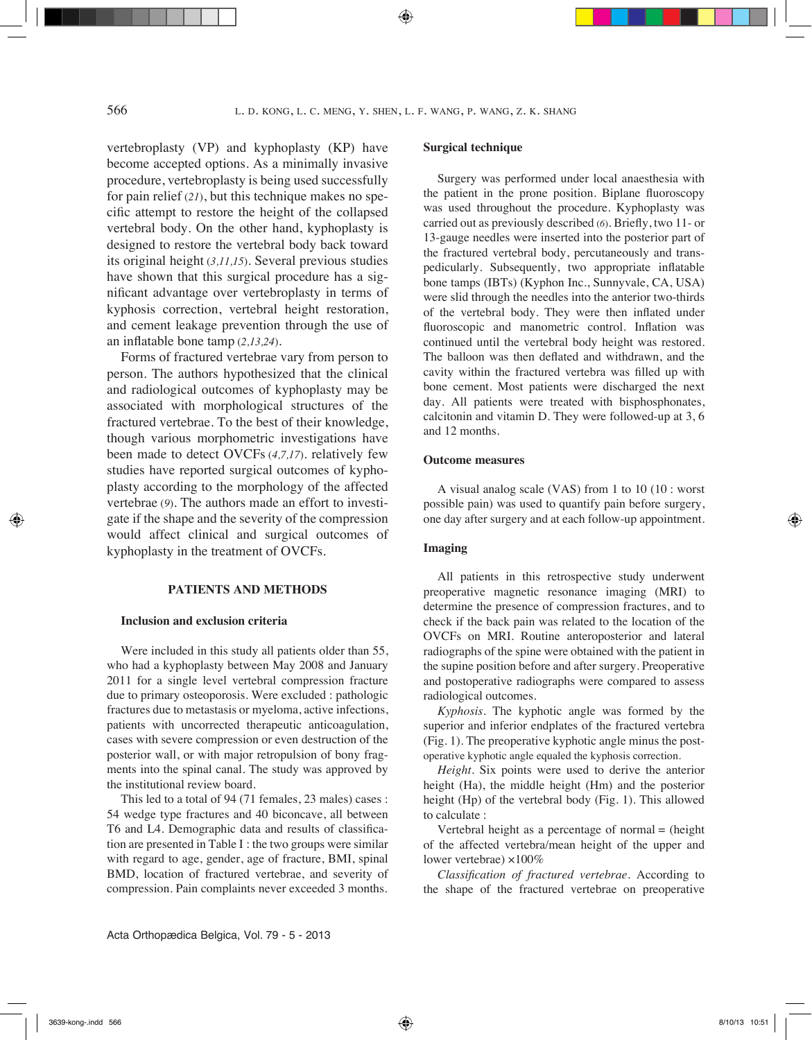vertebroplasty (VP) and kyphoplasty (KP) have become accepted options. As a minimally invasive procedure, vertebroplasty is being used successfully for pain relief (*21*), but this technique makes no specific attempt to restore the height of the collapsed vertebral body. On the other hand, kyphoplasty is designed to restore the vertebral body back toward its original height (*3,11,15*). Several previous studies have shown that this surgical procedure has a significant advantage over vertebroplasty in terms of kyphosis correction, vertebral height restoration, and cement leakage prevention through the use of an inflatable bone tamp (*2,13,24*).

Forms of fractured vertebrae vary from person to person. The authors hypothesized that the clinical and radiological outcomes of kyphoplasty may be associated with morphological structures of the fractured vertebrae. To the best of their knowledge, though various morphometric investigations have been made to detect OVCFs (*4,7,17*). relatively few studies have reported surgical outcomes of kyphoplasty according to the morphology of the affected vertebrae (*9*). The authors made an effort to investigate if the shape and the severity of the compression would affect clinical and surgical outcomes of kyphoplasty in the treatment of OVCFs.

#### **PATIENTS AND METHODS**

#### **Inclusion and exclusion criteria**

Were included in this study all patients older than 55, who had a kyphoplasty between May 2008 and January 2011 for a single level vertebral compression fracture due to primary osteoporosis. Were excluded : pathologic fractures due to metastasis or myeloma, active infections, patients with uncorrected therapeutic anticoagulation, cases with severe compression or even destruction of the posterior wall, or with major retropulsion of bony fragments into the spinal canal. The study was approved by the institutional review board.

This led to a total of 94 (71 females, 23 males) cases : 54 wedge type fractures and 40 biconcave, all between T6 and L4. Demographic data and results of classification are presented in Table I : the two groups were similar with regard to age, gender, age of fracture, BMI, spinal BMD, location of fractured vertebrae, and severity of compression. Pain complaints never exceeded 3 months.

#### **Surgical technique**

Surgery was performed under local anaesthesia with the patient in the prone position. Biplane fluoroscopy was used throughout the procedure. Kyphoplasty was carried out as previously described (*6*). Briefly, two 11- or 13-gauge needles were inserted into the posterior part of the fractured vertebral body, percutaneously and transpedicularly. Subsequently, two appropriate inflatable bone tamps (IBTs) (Kyphon Inc., Sunnyvale, CA, USA) were slid through the needles into the anterior two-thirds of the vertebral body. They were then inflated under fluoroscopic and manometric control. Inflation was continued until the vertebral body height was restored. The balloon was then deflated and withdrawn, and the cavity within the fractured vertebra was filled up with bone cement. Most patients were discharged the next day. All patients were treated with bisphosphonates, calcitonin and vitamin D. They were followed-up at 3, 6 and 12 months.

#### **Outcome measures**

A visual analog scale (VAS) from 1 to 10 (10 : worst possible pain) was used to quantify pain before surgery, one day after surgery and at each follow-up appointment.

#### **Imaging**

All patients in this retrospective study underwent preoperative magnetic resonance imaging (MRI) to determine the presence of compression fractures, and to check if the back pain was related to the location of the OVCFs on MRI. Routine anteroposterior and lateral radiographs of the spine were obtained with the patient in the supine position before and after surgery. Preoperative and postoperative radiographs were compared to assess radiological outcomes.

*Kyphosis.* The kyphotic angle was formed by the superior and inferior endplates of the fractured vertebra (Fig. 1). The preoperative kyphotic angle minus the postoperative kyphotic angle equaled the kyphosis correction.

*Height.* Six points were used to derive the anterior height (Ha), the middle height (Hm) and the posterior height (Hp) of the vertebral body (Fig. 1). This allowed to calculate :

Vertebral height as a percentage of normal = (height of the affected vertebra/mean height of the upper and lower vertebrae) ×100%

*Classification of fractured vertebrae.* According to the shape of the fractured vertebrae on preoperative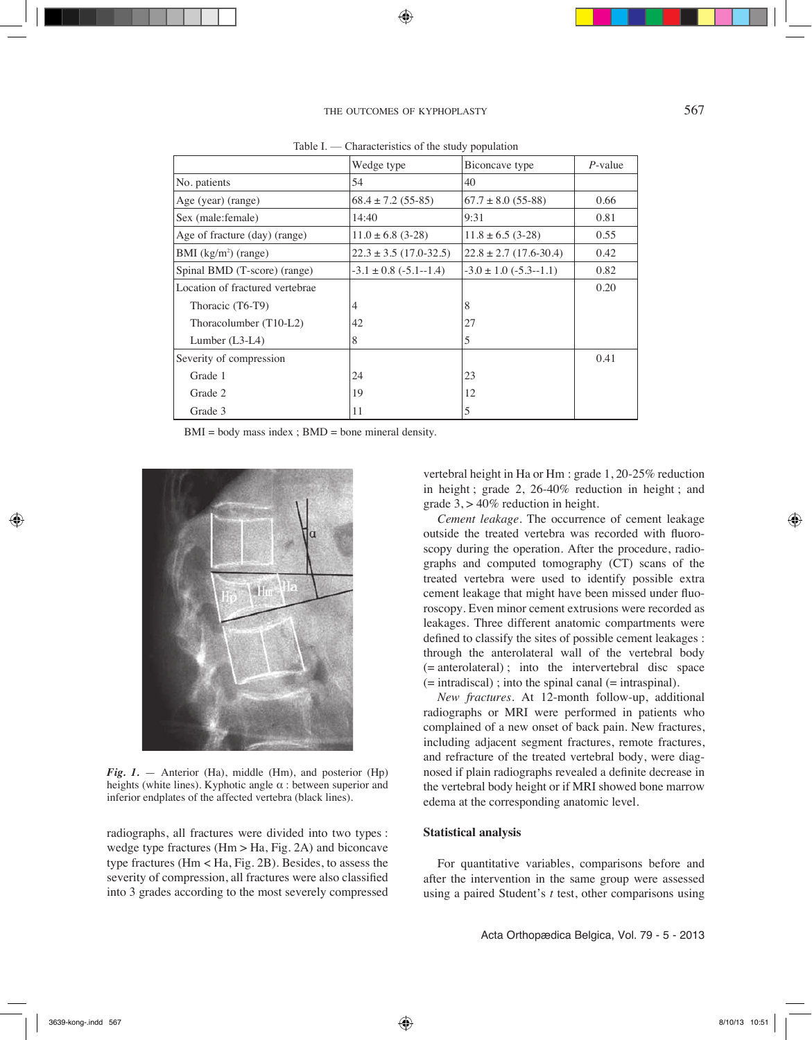| <i>mandonnon</i> or the beau, population |                                 |                                |      |  |  |  |  |
|------------------------------------------|---------------------------------|--------------------------------|------|--|--|--|--|
|                                          | Wedge type                      | Biconcave type                 |      |  |  |  |  |
| No. patients                             | 54                              | 40                             |      |  |  |  |  |
| Age (year) (range)                       | $68.4 \pm 7.2$ (55-85)          | $67.7 \pm 8.0$ (55-88)         | 0.66 |  |  |  |  |
| Sex (male: female)                       | 14:40                           | 9:31                           | 0.81 |  |  |  |  |
| Age of fracture (day) (range)            | $11.0 \pm 6.8$ (3-28)           | $11.8 \pm 6.5$ (3-28)          | 0.55 |  |  |  |  |
| BMI $(kg/m2)$ (range)                    | $22.3 \pm 3.5$ (17.0-32.5)      | $22.8 \pm 2.7$ (17.6-30.4)     | 0.42 |  |  |  |  |
| Spinal BMD (T-score) (range)             | $-3.1 \pm 0.8$ ( $-5.1 - 1.4$ ) | $-3.0 \pm 1.0$ ( $-5.3 -1.1$ ) | 0.82 |  |  |  |  |
| Location of fractured vertebrae          |                                 |                                | 0.20 |  |  |  |  |
| Thoracic (T6-T9)                         | $\overline{4}$                  | 8                              |      |  |  |  |  |
| Thoracolumber $(T10-L2)$                 | 42                              | 27                             |      |  |  |  |  |
| Lumber $(L3-L4)$                         | 8                               | 5                              |      |  |  |  |  |
| Severity of compression                  |                                 |                                | 0.41 |  |  |  |  |
| Grade 1                                  | 24                              | 23                             |      |  |  |  |  |
| Grade 2                                  | 19                              | 12                             |      |  |  |  |  |
| Grade 3                                  | 11                              | 5                              |      |  |  |  |  |

Table  $I$  — Characteristics of the study population

 $BMI = body$  mass index ;  $BMD = bone$  mineral density.



*Fig. 1.* — Anterior (Ha), middle (Hm), and posterior (Hp) heights (white lines). Kyphotic angle  $\alpha$  : between superior and inferior endplates of the affected vertebra (black lines).

radiographs, all fractures were divided into two types : wedge type fractures  $(Hm > Ha, Fig. 2A)$  and biconcave type fractures (Hm < Ha, Fig. 2B). Besides, to assess the severity of compression, all fractures were also classified into 3 grades according to the most severely compressed

vertebral height in Ha or Hm : grade 1, 20-25% reduction in height ; grade 2, 26-40% reduction in height ; and grade  $3$ ,  $> 40\%$  reduction in height.

*Cement leakage.* The occurrence of cement leakage outside the treated vertebra was recorded with fluoroscopy during the operation. After the procedure, radiographs and computed tomography (CT) scans of the treated vertebra were used to identify possible extra cement leakage that might have been missed under fluoroscopy. Even minor cement extrusions were recorded as leakages. Three different anatomic compartments were defined to classify the sites of possible cement leakages : through the anterolateral wall of the vertebral body (= anterolateral) ; into the intervertebral disc space  $($  = intradiscal $)$ ; into the spinal canal  $($  = intraspinal $).$ 

*New fractures.* At 12-month follow-up, additional radiographs or MRI were performed in patients who complained of a new onset of back pain. New fractures, including adjacent segment fractures, remote fractures, and refracture of the treated vertebral body, were diagnosed if plain radiographs revealed a definite decrease in the vertebral body height or if MRI showed bone marrow edema at the corresponding anatomic level.

## **Statistical analysis**

For quantitative variables, comparisons before and after the intervention in the same group were assessed using a paired Student's *t* test, other comparisons using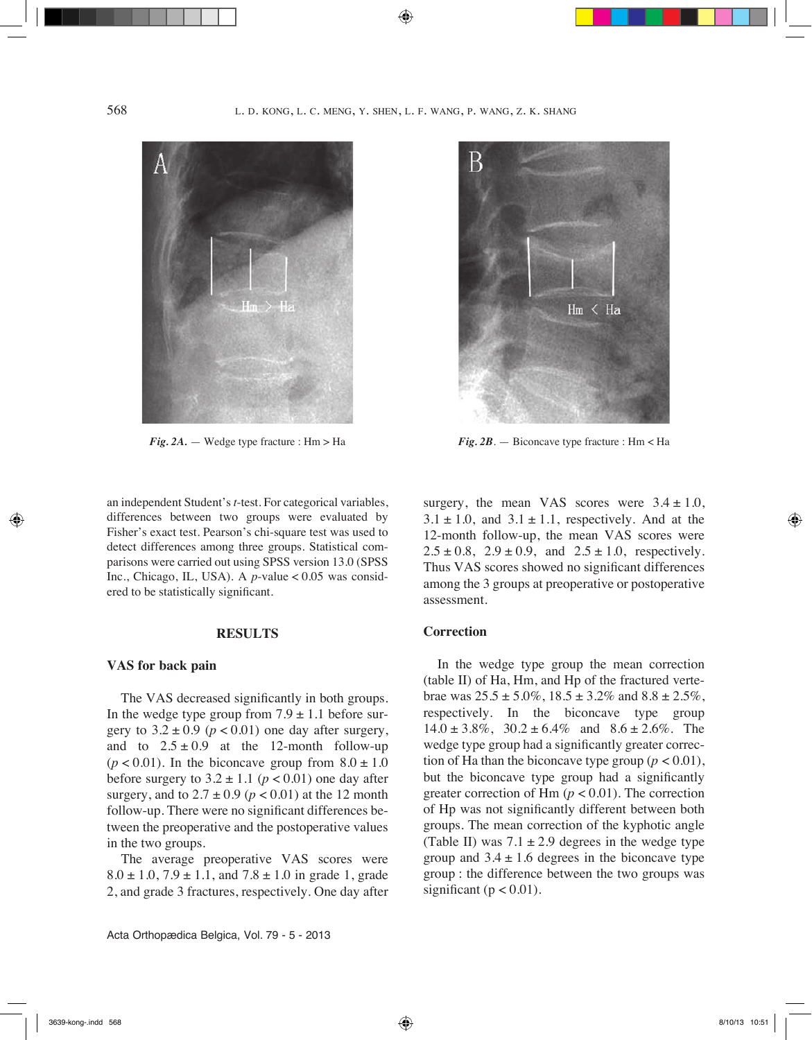

an independent Student's *t*-test. For categorical variables, differences between two groups were evaluated by Fisher's exact test. Pearson's chi-square test was used to detect differences among three groups. Statistical comparisons were carried out using SPSS version 13.0 (SPSS Inc., Chicago, IL, USA). A *p*-value < 0.05 was considered to be statistically significant.

#### **RESULTS**

## **VAS for back pain**

The VAS decreased significantly in both groups. In the wedge type group from  $7.9 \pm 1.1$  before surgery to  $3.2 \pm 0.9$  ( $p < 0.01$ ) one day after surgery, and to  $2.5 \pm 0.9$  at the 12-month follow-up  $(p < 0.01)$ . In the biconcave group from  $8.0 \pm 1.0$ before surgery to  $3.2 \pm 1.1$  ( $p < 0.01$ ) one day after surgery, and to  $2.7 \pm 0.9$  ( $p < 0.01$ ) at the 12 month follow-up. There were no significant differences between the preoperative and the postoperative values in the two groups.

The average preoperative VAS scores were  $8.0 \pm 1.0$ ,  $7.9 \pm 1.1$ , and  $7.8 \pm 1.0$  in grade 1, grade 2, and grade 3 fractures, respectively. One day after



*Fig. 2A.* — Wedge type fracture : Hm > Ha *Fig. 2B*. — Biconcave type fracture : Hm < Ha

surgery, the mean VAS scores were  $3.4 \pm 1.0$ ,  $3.1 \pm 1.0$ , and  $3.1 \pm 1.1$ , respectively. And at the 12-month follow-up, the mean VAS scores were  $2.5 \pm 0.8$ ,  $2.9 \pm 0.9$ , and  $2.5 \pm 1.0$ , respectively. Thus VAS scores showed no significant differences among the 3 groups at preoperative or postoperative assessment.

# **Correction**

In the wedge type group the mean correction (table II) of Ha, Hm, and Hp of the fractured vertebrae was  $25.5 \pm 5.0\%$ ,  $18.5 \pm 3.2\%$  and  $8.8 \pm 2.5\%$ , respectively. In the biconcave type group  $14.0 \pm 3.8\%$ ,  $30.2 \pm 6.4\%$  and  $8.6 \pm 2.6\%$ . The wedge type group had a significantly greater correction of Ha than the biconcave type group  $(p < 0.01)$ , but the biconcave type group had a significantly greater correction of Hm  $(p < 0.01)$ . The correction of Hp was not significantly different between both groups. The mean correction of the kyphotic angle (Table II) was  $7.1 \pm 2.9$  degrees in the wedge type group and  $3.4 \pm 1.6$  degrees in the biconcave type group : the difference between the two groups was significant ( $p < 0.01$ ).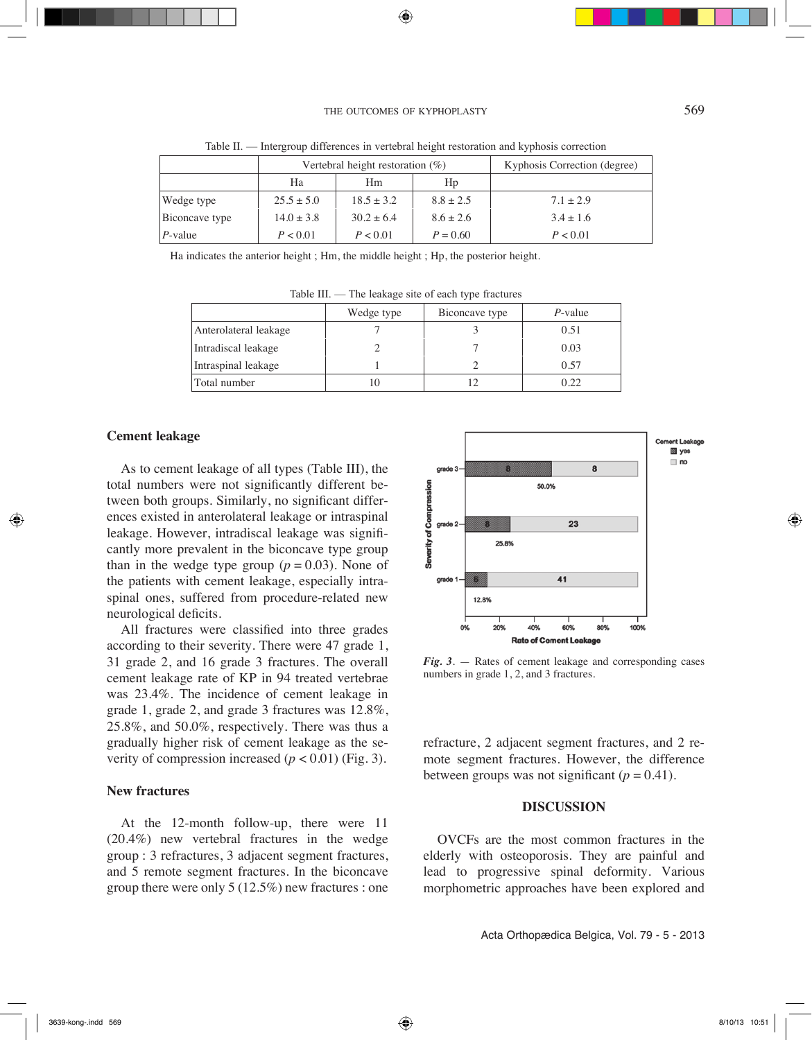## THE OUTCOMES OF KYPHOPLASTY 569

|                | Vertebral height restoration $(\%)$ |                |                | Kyphosis Correction (degree) |
|----------------|-------------------------------------|----------------|----------------|------------------------------|
|                | Ha                                  | Hm             | H <sub>p</sub> |                              |
| Wedge type     | $25.5 \pm 5.0$                      | $18.5 \pm 3.2$ | $8.8 \pm 2.5$  | $7.1 \pm 2.9$                |
| Biconcave type | $14.0 \pm 3.8$                      | $30.2 \pm 6.4$ | $8.6 \pm 2.6$  | $3.4 \pm 1.6$                |
| $P$ -value     | P < 0.01                            | P < 0.01       | $P = 0.60$     | P < 0.01                     |

Table Ⅱ. — Intergroup differences in vertebral height restoration and kyphosis correction

Ha indicates the anterior height ; Hm, the middle height ; Hp, the posterior height.

|                       | Wedge type | Biconcave type | $P$ -value |  |  |
|-----------------------|------------|----------------|------------|--|--|
| Anterolateral leakage |            |                | 0.51       |  |  |
| Intradiscal leakage   |            |                | 0.03       |  |  |
| Intraspinal leakage   |            |                | 0.57       |  |  |
| Total number          |            |                | 0.22       |  |  |

Table III. — The leakage site of each type fractures

## **Cement leakage**

As to cement leakage of all types (Table III), the total numbers were not significantly different between both groups. Similarly, no significant differences existed in anterolateral leakage or intraspinal leakage. However, intradiscal leakage was significantly more prevalent in the biconcave type group than in the wedge type group ( $p = 0.03$ ). None of the patients with cement leakage, especially intraspinal ones, suffered from procedure-related new neurological deficits.

All fractures were classified into three grades according to their severity. There were 47 grade 1, 31 grade 2, and 16 grade 3 fractures. The overall cement leakage rate of KP in 94 treated vertebrae was 23.4%. The incidence of cement leakage in grade 1, grade 2, and grade 3 fractures was 12.8%, 25.8%, and 50.0%, respectively. There was thus a gradually higher risk of cement leakage as the severity of compression increased  $(p < 0.01)$  (Fig. 3).

#### **New fractures**

At the 12-month follow-up, there were 11 (20.4%) new vertebral fractures in the wedge group : 3 refractures, 3 adjacent segment fractures, and 5 remote segment fractures. In the biconcave group there were only 5 (12.5%) new fractures : one



*Fig. 3*. — Rates of cement leakage and corresponding cases numbers in grade 1, 2, and 3 fractures.

refracture, 2 adjacent segment fractures, and 2 remote segment fractures. However, the difference between groups was not significant  $(p = 0.41)$ .

## **DISCUSSION**

OVCFs are the most common fractures in the elderly with osteoporosis. They are painful and lead to progressive spinal deformity. Various morphometric approaches have been explored and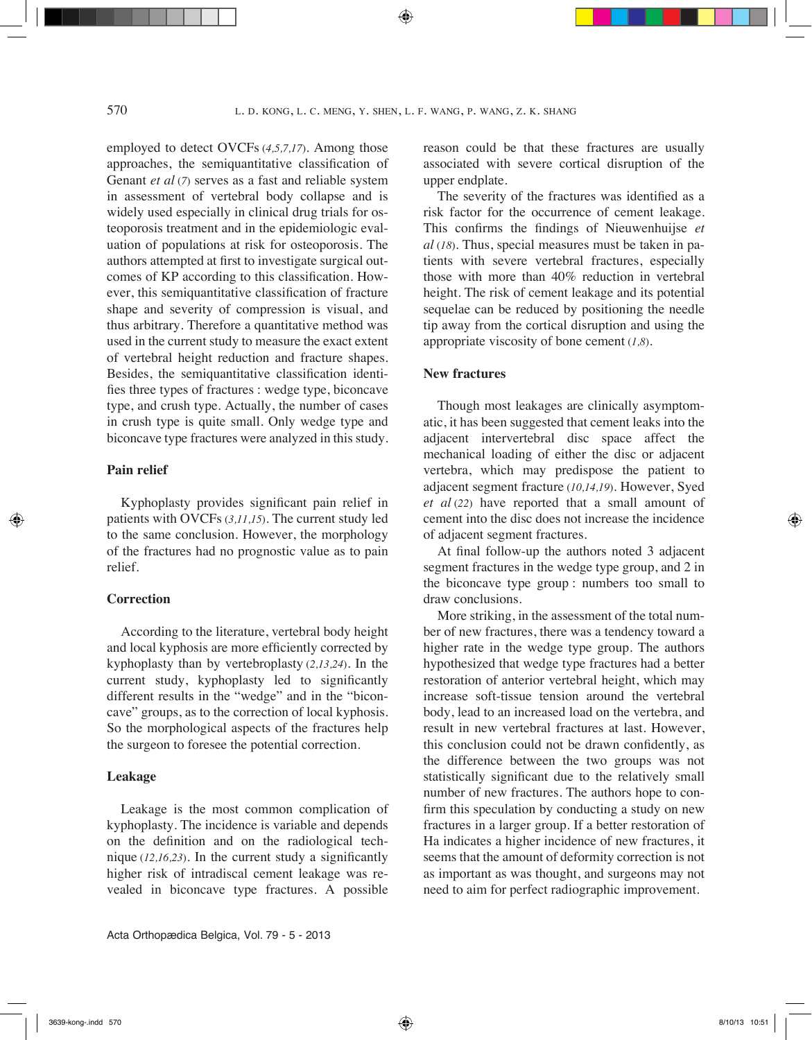employed to detect OVCFs (*4,5,7,17*). Among those approaches, the semiquantitative classification of Genant *et al* (*7*) serves as a fast and reliable system in assessment of vertebral body collapse and is widely used especially in clinical drug trials for osteoporosis treatment and in the epidemiologic evaluation of populations at risk for osteoporosis. The authors attempted at first to investigate surgical outcomes of KP according to this classification. However, this semiquantitative classification of fracture shape and severity of compression is visual, and thus arbitrary. Therefore a quantitative method was used in the current study to measure the exact extent of vertebral height reduction and fracture shapes. Besides, the semiquantitative classification identifies three types of fractures : wedge type, biconcave type, and crush type. Actually, the number of cases in crush type is quite small. Only wedge type and biconcave type fractures were analyzed in this study.

## **Pain relief**

Kyphoplasty provides significant pain relief in patients with OVCFs (*3,11,15*). The current study led to the same conclusion. However, the morphology of the fractures had no prognostic value as to pain relief.

# **Correction**

According to the literature, vertebral body height and local kyphosis are more efficiently corrected by kyphoplasty than by vertebroplasty (*2,13,24*). In the current study, kyphoplasty led to significantly different results in the "wedge" and in the "biconcave" groups, as to the correction of local kyphosis. So the morphological aspects of the fractures help the surgeon to foresee the potential correction.

## **Leakage**

Leakage is the most common complication of kyphoplasty. The incidence is variable and depends on the definition and on the radiological technique (*12,16,23*). In the current study a significantly higher risk of intradiscal cement leakage was revealed in biconcave type fractures. A possible

reason could be that these fractures are usually associated with severe cortical disruption of the upper endplate.

The severity of the fractures was identified as a risk factor for the occurrence of cement leakage. This confirms the findings of Nieuwenhuijse *et al* (*18*). Thus, special measures must be taken in patients with severe vertebral fractures, especially those with more than 40% reduction in vertebral height. The risk of cement leakage and its potential sequelae can be reduced by positioning the needle tip away from the cortical disruption and using the appropriate viscosity of bone cement (*1,8*).

## **New fractures**

Though most leakages are clinically asymptomatic, it has been suggested that cement leaks into the adjacent intervertebral disc space affect the mechanical loading of either the disc or adjacent vertebra, which may predispose the patient to adjacent segment fracture (*10,14,19*). However, Syed *et al* (*22*) have reported that a small amount of cement into the disc does not increase the incidence of adjacent segment fractures.

At final follow-up the authors noted 3 adjacent segment fractures in the wedge type group, and 2 in the biconcave type group : numbers too small to draw conclusions.

More striking, in the assessment of the total number of new fractures, there was a tendency toward a higher rate in the wedge type group. The authors hypothesized that wedge type fractures had a better restoration of anterior vertebral height, which may increase soft-tissue tension around the vertebral body, lead to an increased load on the vertebra, and result in new vertebral fractures at last. However, this conclusion could not be drawn confidently, as the difference between the two groups was not statistically significant due to the relatively small number of new fractures. The authors hope to confirm this speculation by conducting a study on new fractures in a larger group. If a better restoration of Ha indicates a higher incidence of new fractures, it seems that the amount of deformity correction is not as important as was thought, and surgeons may not need to aim for perfect radiographic improvement.